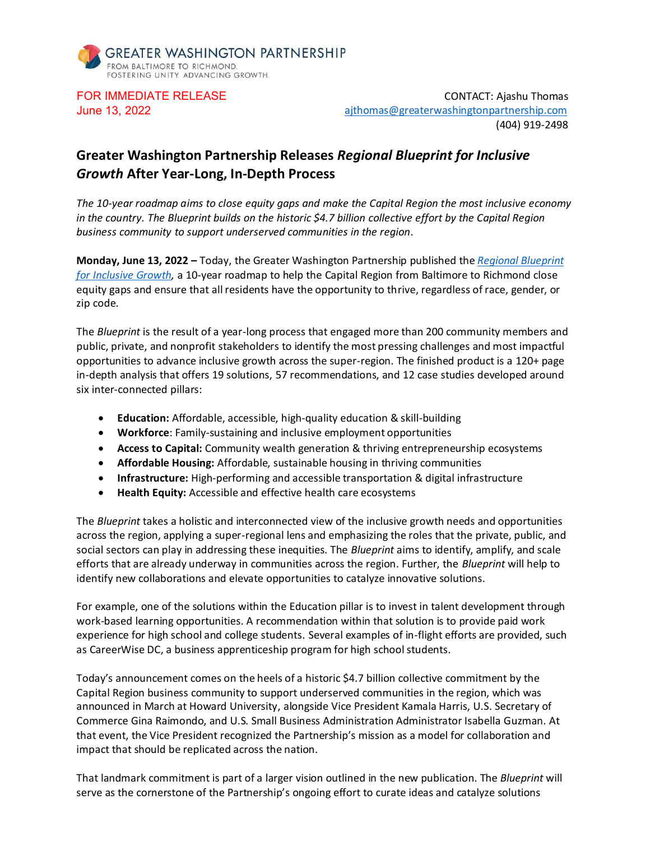

FOR IMMEDIATE RELEASE CONTACT: Ajashu Thomas June 13, 2022[ajthomas@greaterwashingtonpartnership.com](mailto:ajthomas@greaterwashingtonpartnership.com) (404) 919-2498

## **Greater Washington Partnership Releases** *Regional Blueprint for Inclusive Growth* **After Year-Long, In-Depth Process**

*The 10-year roadmap aims to close equity gaps and make the Capital Region the most inclusive economy in the country. The Blueprint builds on the historic \$4.7 billion collective effort by the Capital Region business community to support underserved communities in the region*.

**Monday, June 13, 2022 –** Today, the Greater Washington Partnership published the *[Regional Blueprint](http://igblueprint.greaterwashingtonpartnership.com/)  [for Inclusive Growth,](http://igblueprint.greaterwashingtonpartnership.com/)* a 10-year roadmap to help the Capital Region from Baltimore to Richmond close equity gaps and ensure that all residents have the opportunity to thrive, regardless of race, gender, or zip code.

The *Blueprint* is the result of a year-long process that engaged more than 200 community members and public, private, and nonprofit stakeholders to identify the most pressing challenges and most impactful opportunities to advance inclusive growth across the super-region. The finished product is a 120+ page in-depth analysis that offers 19 solutions, 57 recommendations, and 12 case studies developed around six inter-connected pillars:

- **Education:** Affordable, accessible, high-quality education & skill-building
- **Workforce**: Family-sustaining and inclusive employment opportunities
- **Access to Capital:** Community wealth generation & thriving entrepreneurship ecosystems
- **Affordable Housing:** Affordable, sustainable housing in thriving communities
- **Infrastructure:** High-performing and accessible transportation & digital infrastructure
- **Health Equity:** Accessible and effective health care ecosystems

The *Blueprint* takes a holistic and interconnected view of the inclusive growth needs and opportunities across the region, applying a super-regional lens and emphasizing the roles that the private, public, and social sectors can play in addressing these inequities. The *Blueprint* aims to identify, amplify, and scale efforts that are already underway in communities across the region. Further, the *Blueprint* will help to identify new collaborations and elevate opportunities to catalyze innovative solutions.

For example, one of the solutions within the Education pillar is to invest in talent development through work-based learning opportunities. A recommendation within that solution is to provide paid work experience for high school and college students. Several examples of in-flight efforts are provided, such as CareerWise DC, a business apprenticeship program for high school students.

Today's announcement comes on the heels of a historic \$4.7 billion collective commitment by the Capital Region business community to support underserved communities in the region, which was announced in March at Howard University, alongside Vice President Kamala Harris, U.S. Secretary of Commerce Gina Raimondo, and U.S. Small Business Administration Administrator Isabella Guzman. At that event, the Vice President recognized the Partnership's mission as a model for collaboration and impact that should be replicated across the nation.

That landmark commitment is part of a larger vision outlined in the new publication. The *Blueprint* will serve as the cornerstone of the Partnership's ongoing effort to curate ideas and catalyze solutions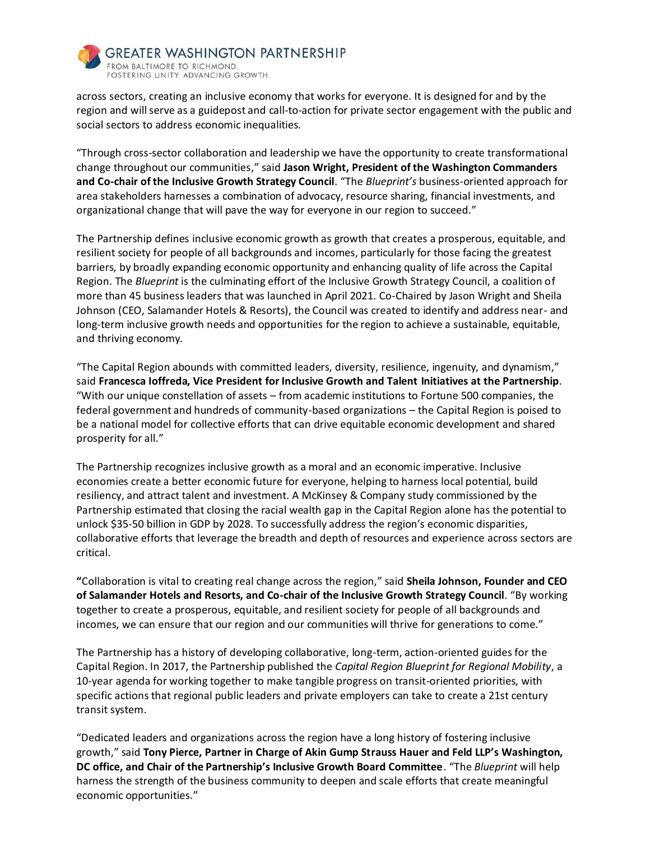

across sectors, creating an inclusive economy that works for everyone. It is designed for and by the region and will serve as a guidepost and call-to-action for private sector engagement with the public and social sectors to address economic inequalities.

"Through cross-sector collaboration and leadership we have the opportunity to create transformational change throughout our communities," said **Jason Wright, President of the Washington Commanders and Co-chair of the Inclusive Growth Strategy Council**. "The *Blueprint's* business-oriented approach for area stakeholders harnesses a combination of advocacy, resource sharing, financial investments, and organizational change that will pave the way for everyone in our region to succeed."

The Partnership defines inclusive economic growth as growth that creates a prosperous, equitable, and resilient society for people of all backgrounds and incomes, particularly for those facing the greatest barriers, by broadly expanding economic opportunity and enhancing quality of life across the Capital Region. The *Blueprint* is the culminating effort of the Inclusive Growth Strategy Council, a coalition of more than 45 business leaders that was launched in April 2021. Co-Chaired by Jason Wright and Sheila Johnson (CEO, Salamander Hotels & Resorts), the Council was created to identify and address near- and long-term inclusive growth needs and opportunities for the region to achieve a sustainable, equitable, and thriving economy.

"The Capital Region abounds with committed leaders, diversity, resilience, ingenuity, and dynamism," said **Francesca Ioffreda, Vice President for Inclusive Growth and Talent Initiatives at the Partnership**. "With our unique constellation of assets – from academic institutions to Fortune 500 companies, the federal government and hundreds of community-based organizations – the Capital Region is poised to be a national model for collective efforts that can drive equitable economic development and shared prosperity for all."

The Partnership recognizes inclusive growth as a moral and an economic imperative. Inclusive economies create a better economic future for everyone, helping to harness local potential, build resiliency, and attract talent and investment. A McKinsey & Company study commissioned by the Partnership estimated that closing the racial wealth gap in the Capital Region alone has the potential to unlock \$35-50 billion in GDP by 2028. To successfully address the region's economic disparities, collaborative efforts that leverage the breadth and depth of resources and experience across sectors are critical.

**"**Collaboration is vital to creating real change across the region," said **Sheila Johnson, Founder and CEO of Salamander Hotels and Resorts, and Co-chair of the Inclusive Growth Strategy Council**. "By working together to create a prosperous, equitable, and resilient society for people of all backgrounds and incomes, we can ensure that our region and our communities will thrive for generations to come."

The Partnership has a history of developing collaborative, long-term, action-oriented guides for the Capital Region. In 2017, the Partnership published the *Capital Region Blueprint for Regional Mobility*, a 10-year agenda for working together to make tangible progress on transit-oriented priorities, with specific actions that regional public leaders and private employers can take to create a 21st century transit system.

"Dedicated leaders and organizations across the region have a long history of fostering inclusive growth," said **Tony Pierce, Partner in Charge of Akin Gump Strauss Hauer and Feld LLP's Washington, DC office, and Chair of the Partnership's Inclusive Growth Board Committee**. "The *Blueprint* will help harness the strength of the business community to deepen and scale efforts that create meaningful economic opportunities."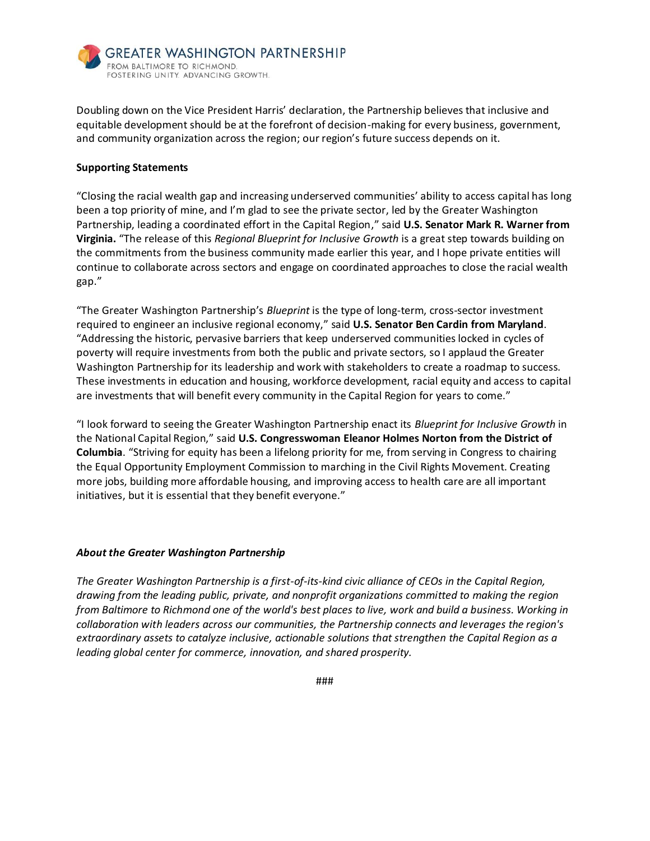

Doubling down on the Vice President Harris' declaration, the Partnership believes that inclusive and equitable development should be at the forefront of decision-making for every business, government, and community organization across the region; our region's future success depends on it.

## **Supporting Statements**

"Closing the racial wealth gap and increasing underserved communities' ability to access capital has long been a top priority of mine, and I'm glad to see the private sector, led by the Greater Washington Partnership, leading a coordinated effort in the Capital Region," said **U.S. Senator Mark R. Warner from Virginia.** "The release of this *Regional Blueprint for Inclusive Growth* is a great step towards building on the commitments from the business community made earlier this year, and I hope private entities will continue to collaborate across sectors and engage on coordinated approaches to close the racial wealth gap."

"The Greater Washington Partnership's *Blueprint* is the type of long-term, cross-sector investment required to engineer an inclusive regional economy," said **U.S. Senator Ben Cardin from Maryland**. "Addressing the historic, pervasive barriers that keep underserved communities locked in cycles of poverty will require investments from both the public and private sectors, so I applaud the Greater Washington Partnership for its leadership and work with stakeholders to create a roadmap to success. These investments in education and housing, workforce development, racial equity and access to capital are investments that will benefit every community in the Capital Region for years to come."

"I look forward to seeing the Greater Washington Partnership enact its *Blueprint for Inclusive Growth* in the National Capital Region," said **U.S. Congresswoman Eleanor Holmes Norton from the District of Columbia**. "Striving for equity has been a lifelong priority for me, from serving in Congress to chairing the Equal Opportunity Employment Commission to marching in the Civil Rights Movement. Creating more jobs, building more affordable housing, and improving access to health care are all important initiatives, but it is essential that they benefit everyone."

## *About the Greater Washington Partnership*

*The Greater Washington Partnership is a first-of-its-kind civic alliance of CEOs in the Capital Region, drawing from the leading public, private, and nonprofit organizations committed to making the region from Baltimore to Richmond one of the world's best places to live, work and build a business. Working in collaboration with leaders across our communities, the Partnership connects and leverages the region's extraordinary assets to catalyze inclusive, actionable solutions that strengthen the Capital Region as a leading global center for commerce, innovation, and shared prosperity.*